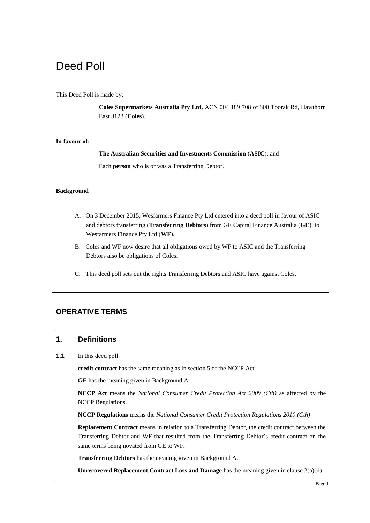# Deed Poll

#### This Deed Poll is made by:

**Coles Supermarkets Australia Pty Ltd,** ACN 004 189 708 of 800 Toorak Rd, Hawthorn East 3123 (**Coles**).

#### **In favour of:**

**The Australian Securities and Investments Commission** (**ASIC**); and

Each **person** who is or was a Transferring Debtor.

#### **Background**

- A. On 3 December 2015, Wesfarmers Finance Pty Ltd entered into a deed poll in favour of ASIC and debtors transferring (**Transferring Debtors**) from GE Capital Finance Australia (**GE**), to Wesfarmers Finance Pty Ltd (**WF**).
- B. Coles and WF now desire that all obligations owed by WF to ASIC and the Transferring Debtors also be obligations of Coles.
- C. This deed poll sets out the rights Transferring Debtors and ASIC have against Coles.

# **OPERATIVE TERMS**

## **1. Definitions**

**1.1** In this deed poll:

**credit contract** has the same meaning as in section 5 of the NCCP Act.

**GE** has the meaning given in Background A.

**NCCP Act** means the *National Consumer Credit Protection Act 2009 (Cth)* as affected by the NCCP Regulations.

**NCCP Regulations** means the *National Consumer Credit Protection Regulations 2010 (Cth)*.

**Replacement Contract** means in relation to a Transferring Debtor, the credit contract between the Transferring Debtor and WF that resulted from the Transferring Debtor's credit contract on the same terms being novated from GE to WF.

**Transferring Debtors** has the meaning given in Background A.

**Unrecovered Replacement Contract Loss and Damage** has the meaning given in clause 2(a)(ii).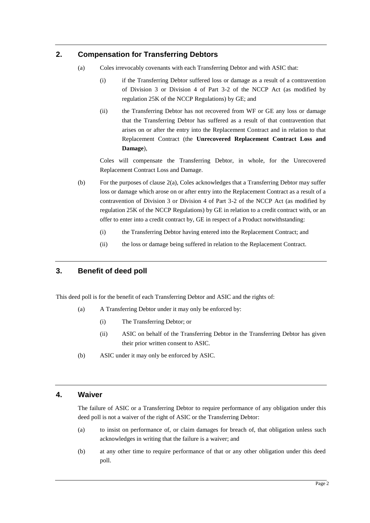# **2. Compensation for Transferring Debtors**

- (a) Coles irrevocably covenants with each Transferring Debtor and with ASIC that:
	- (i) if the Transferring Debtor suffered loss or damage as a result of a contravention of Division 3 or Division 4 of Part 3-2 of the NCCP Act (as modified by regulation 25K of the NCCP Regulations) by GE; and
	- (ii) the Transferring Debtor has not recovered from WF or GE any loss or damage that the Transferring Debtor has suffered as a result of that contravention that arises on or after the entry into the Replacement Contract and in relation to that Replacement Contract (the **Unrecovered Replacement Contract Loss and Damage**),

Coles will compensate the Transferring Debtor, in whole, for the Unrecovered Replacement Contract Loss and Damage.

- (b) For the purposes of clause  $2(a)$ , Coles acknowledges that a Transferring Debtor may suffer loss or damage which arose on or after entry into the Replacement Contract as a result of a contravention of Division 3 or Division 4 of Part 3-2 of the NCCP Act (as modified by regulation 25K of the NCCP Regulations) by GE in relation to a credit contract with, or an offer to enter into a credit contract by, GE in respect of a Product notwithstanding:
	- (i) the Transferring Debtor having entered into the Replacement Contract; and
	- (ii) the loss or damage being suffered in relation to the Replacement Contract.

# **3. Benefit of deed poll**

This deed poll is for the benefit of each Transferring Debtor and ASIC and the rights of:

- (a) A Transferring Debtor under it may only be enforced by:
	- (i) The Transferring Debtor; or
	- (ii) ASIC on behalf of the Transferring Debtor in the Transferring Debtor has given their prior written consent to ASIC.
- (b) ASIC under it may only be enforced by ASIC.

## **4. Waiver**

The failure of ASIC or a Transferring Debtor to require performance of any obligation under this deed poll is not a waiver of the right of ASIC or the Transferring Debtor:

- (a) to insist on performance of, or claim damages for breach of, that obligation unless such acknowledges in writing that the failure is a waiver; and
- (b) at any other time to require performance of that or any other obligation under this deed poll.